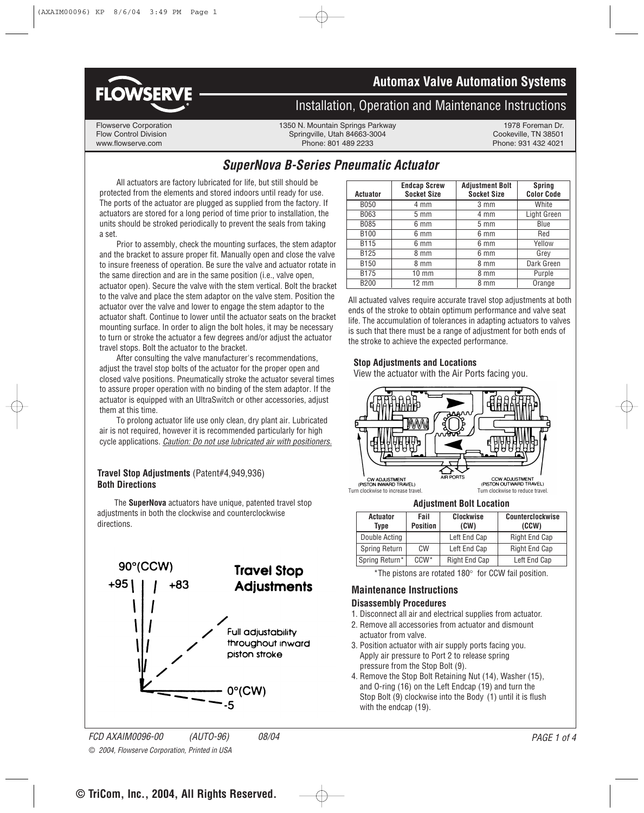



## **Installation, Operation and Maintenance Instructions**

Flowserve Corporation **1350 N. Mountain Springs Parkway** 1978 Foreman Dr.<br>1350 Flow Control Division 1978 Foreman Dr. Springville. Utah 84663-3004 1978 Foreman Dr. Flow Control Division Cookeville, The Springville, Utah 84663-3004 Cookeville, TN 38501<br>France: 801 489 2233 Cookeville, TN 38501 Cookeville, TN 38501 Cookeville, TN 38501 Phone: 801 489 2233

## **SuperNova B-Series Pneumatic Actuator**

All actuators are factory lubricated for life, but still should be protected from the elements and stored indoors until ready for use. The ports of the actuator are plugged as supplied from the factory. If actuators are stored for a long period of time prior to installation, the units should be stroked periodically to prevent the seals from taking a set.

Prior to assembly, check the mounting surfaces, the stem adaptor and the bracket to assure proper fit. Manually open and close the valve to insure freeness of operation. Be sure the valve and actuator rotate in the same direction and are in the same position (i.e., valve open, actuator open). Secure the valve with the stem vertical. Bolt the bracket to the valve and place the stem adaptor on the valve stem. Position the actuator over the valve and lower to engage the stem adaptor to the actuator shaft. Continue to lower until the actuator seats on the bracket mounting surface. In order to align the bolt holes, it may be necessary to turn or stroke the actuator a few degrees and/or adjust the actuator travel stops. Bolt the actuator to the bracket.

After consulting the valve manufacturer's recommendations, adjust the travel stop bolts of the actuator for the proper open and closed valve positions. Pneumatically stroke the actuator several times to assure proper operation with no binding of the stem adaptor. If the actuator is equipped with an UltraSwitch or other accessories, adjust them at this time.

To prolong actuator life use only clean, dry plant air. Lubricated air is not required, however it is recommended particularly for high cycle applications. Caution: Do not use lubricated air with positioners.

### **Travel Stop Adjustments** (Patent#4,949,936) **Both Directions**

The **SuperNova** actuators have unique, patented travel stop adjustments in both the clockwise and counterclockwise directions.



| <b>Actuator</b>  | <b>Endcap Screw</b><br><b>Socket Size</b> | <b>Adjustment Bolt</b><br><b>Socket Size</b> | <b>Spring</b><br><b>Color Code</b> |
|------------------|-------------------------------------------|----------------------------------------------|------------------------------------|
| <b>B050</b>      | 4 mm                                      | $3 \, \text{mm}$                             | White                              |
| B063             | $5 \text{ mm}$                            | 4 mm                                         | Light Green                        |
| B085             | $6 \text{ mm}$                            | $5 \text{ mm}$                               | Blue                               |
| <b>B100</b>      | $6 \text{ mm}$                            | 6 mm                                         | Red                                |
| <b>B115</b>      | $6 \text{ mm}$                            | 6 mm                                         | Yellow                             |
| B <sub>125</sub> | 8 mm                                      | 6 mm                                         | Grey                               |
| <b>B150</b>      | 8 mm                                      | 8 mm                                         | Dark Green                         |
| <b>B175</b>      | $10 \text{ mm}$                           | 8 mm                                         | Purple                             |
| <b>B200</b>      | $12 \text{ mm}$                           | 8 mm                                         | Orange                             |

All actuated valves require accurate travel stop adjustments at both ends of the stroke to obtain optimum performance and valve seat life. The accumulation of tolerances in adapting actuators to valves is such that there must be a range of adjustment for both ends of the stroke to achieve the expected performance.

### **Stop Adjustments and Locations**

View the actuator with the Air Ports facing you.



#### **Adjustment Bolt Location**

| <b>Actuator</b><br>Tvpe | Fail<br><b>Position</b> | <b>Clockwise</b><br>(CW) | Counterclockwise<br>(CCW) |
|-------------------------|-------------------------|--------------------------|---------------------------|
| Double Acting           |                         | Left End Cap             | <b>Right End Cap</b>      |
| Spring Return           | CW                      | Left End Cap             | <b>Right End Cap</b>      |
| Spring Return*          | $CCW*$                  | <b>Right End Cap</b>     | Left End Cap              |

\*The pistons are rotated 180° for CCW fail position.

### **Maintenance Instructions**

#### **Disassembly Procedures**

- 1. Disconnect all air and electrical supplies from actuator.
- 2. Remove all accessories from actuator and dismount actuator from valve.
- 3. Position actuator with air supply ports facing you. Apply air pressure to Port 2 to release spring pressure from the Stop Bolt (9).
- 4. Remove the Stop Bolt Retaining Nut (14), Washer (15), and O-ring (16) on the Left Endcap (19) and turn the Stop Bolt (9) clockwise into the Body (1) until it is flush with the endcap (19).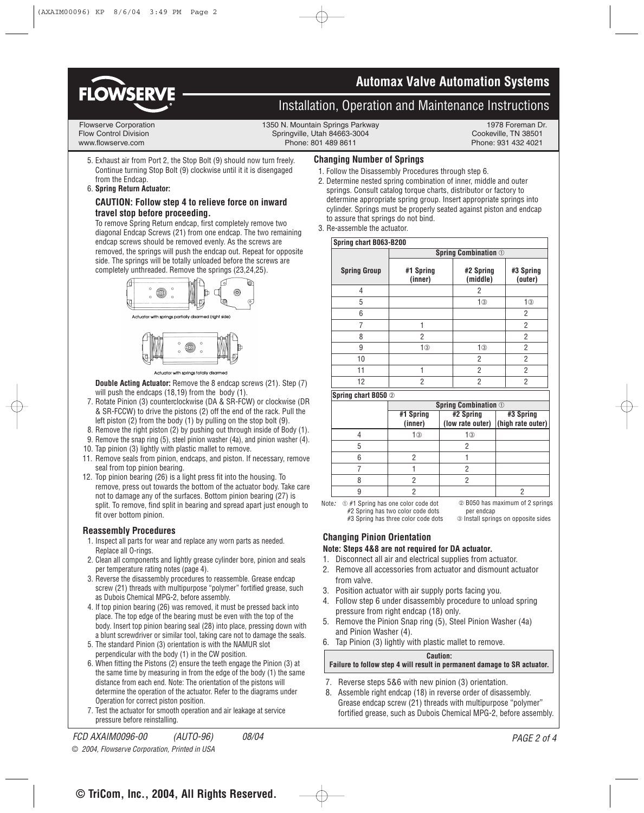

## **3-Position Control/Dribble Control Automax Valve Automation Systems**

## **Installation, Operation and Maintenance Instructions**

#### Flowserve Corporation **1350 N. Mountain Springs Parkway** 1978 Foreman Dr.<br>1978 Foreman Dr. 1350 N. Mountain Springs Parkway 1978 Foreman Dr. 1978 Foreman Dr. 1978 Foreman Dr. Flow Control Division Springville, Utah 84663-3004 www.flowserve.com Phone: 801 489 8611 Phone: 931 432 4021

5. Exhaust air from Port 2, the Stop Bolt (9) should now turn freely. Continue turning Stop Bolt (9) clockwise until it it is disengaged from the Endcap.

### 6. **Spring Return Actuator:**

#### **CAUTION: Follow step 4 to relieve force on inward travel stop before proceeding.**

To remove Spring Return endcap, first completely remove two diagonal Endcap Screws (21) from one endcap. The two remaining endcap screws should be removed evenly. As the screws are removed, the springs will push the endcap out. Repeat for opposite side. The springs will be totally unloaded before the screws are completely unthreaded. Remove the springs (23,24,25).





Actuator with springs totally disarmed

**Double Acting Actuator:** Remove the 8 endcap screws (21). Step (7) will push the endcaps (18,19) from the body (1).

- 7. Rotate Pinion (3) counterclockwise (DA & SR-FCW) or clockwise (DR & SR-FCCW) to drive the pistons (2) off the end of the rack. Pull the left piston (2) from the body (1) by pulling on the stop bolt (9).
- 8. Remove the right piston (2) by pushing out through inside of Body (1).
- 9. Remove the snap ring (5), steel pinion washer (4a), and pinion washer (4).
- 10. Tap pinion (3) lightly with plastic mallet to remove.
- 11. Remove seals from pinion, endcaps, and piston. If necessary, remove seal from top pinion bearing.
- 12. Top pinion bearing (26) is a light press fit into the housing. To remove, press out towards the bottom of the actuator body. Take care not to damage any of the surfaces. Bottom pinion bearing (27) is split. To remove, find split in bearing and spread apart just enough to fit over bottom pinion.

#### **Reassembly Procedures**

- 1. Inspect all parts for wear and replace any worn parts as needed. Replace all O-rings.
- 2. Clean all components and lightly grease cylinder bore, pinion and seals per temperature rating notes (page 4).
- 3. Reverse the disassembly procedures to reassemble. Grease endcap screw (21) threads with multipurpose "polymer" fortified grease, such as Dubois Chemical MPG-2, before assembly.
- 4. If top pinion bearing (26) was removed, it must be pressed back into place. The top edge of the bearing must be even with the top of the body. Insert top pinion bearing seal (28) into place, pressing down with a blunt screwdriver or similar tool, taking care not to damage the seals.
- 5. The standard Pinion (3) orientation is with the NAMUR slot perpendicular with the body (1) in the CW position.
- 6. When fitting the Pistons (2) ensure the teeth engage the Pinion (3) at the same time by measuring in from the edge of the body (1) the same distance from each end. Note: The orientation of the pistons will determine the operation of the actuator. Refer to the diagrams under Operation for correct piston position.
- 7. Test the actuator for smooth operation and air leakage at service pressure before reinstalling.

#### **Changing Number of Springs**

- 1. Follow the Disassembly Procedures through step 6.
- 2. Determine nested spring combination of inner, middle and outer springs. Consult catalog torque charts, distributor or factory to determine appropriate spring group. Insert appropriate springs into cylinder. Springs must be properly seated against piston and endcap to assure that springs do not bind.
- 3. Re-assemble the actuator.

| Spring chart B063-B200 |                             |                       |                      |
|------------------------|-----------------------------|-----------------------|----------------------|
|                        | <b>Spring Combination 1</b> |                       |                      |
| <b>Spring Group</b>    | #1 Spring<br>(inner)        | #2 Spring<br>(middle) | #3 Spring<br>(outer) |
| 4                      |                             | 2                     |                      |
| 5                      |                             | 1 <sup>③</sup>        | 1 <sup>③</sup>       |
| 6                      |                             |                       | 2                    |
| 7                      |                             |                       | $\overline{2}$       |
| 8                      | $\overline{2}$              |                       | $\overline{2}$       |
| 9                      | 1 <sup>③</sup>              | 1 <sup>③</sup>        | 2                    |
| 10                     |                             | 2                     | $\overline{2}$       |
| 11                     |                             | 2                     | 2                    |
| 12                     | $\overline{2}$              | 2                     | $\overline{2}$       |

**Spring chart B050** ➁

| <b>Spring Combination 1</b> |           |                                                 |
|-----------------------------|-----------|-------------------------------------------------|
| #1 Spring<br>(inner)        | #2 Spring | #3 Spring<br>(low rate outer) (high rate outer) |
| 1③                          | 1③        |                                                 |
|                             |           |                                                 |
|                             |           |                                                 |
|                             |           |                                                 |
|                             |           |                                                 |
|                             |           |                                                 |

➁ B050 has maximum of 2 springs per endcap ➂ Install springs on opposite sides Note:  $\oplus$  #1 Spring has one color code dot #2 Spring has two color code dots #3 Spring has three color code dots

### **Changing Pinion Orientation**

#### **Note: Steps 4&8 are not required for DA actuator.**

- 1. Disconnect all air and electrical supplies from actuator.
- 2. Remove all accessories from actuator and dismount actuator from valve.
- 3. Position actuator with air supply ports facing you.
- 4. Follow step 6 under disassembly procedure to unload spring pressure from right endcap (18) only.
- 5. Remove the Pinion Snap ring (5), Steel Pinion Washer (4a) and Pinion Washer (4).
- 6. Tap Pinion (3) lightly with plastic mallet to remove.

#### **Caution:**

#### **Failure to follow step 4 will result in permanent damage to SR actuator.**

- 7. Reverse steps 5&6 with new pinion (3) orientation.
- 8. Assemble right endcap (18) in reverse order of disassembly. Grease endcap screw (21) threads with multipurpose "polymer" fortified grease, such as Dubois Chemical MPG-2, before assembly.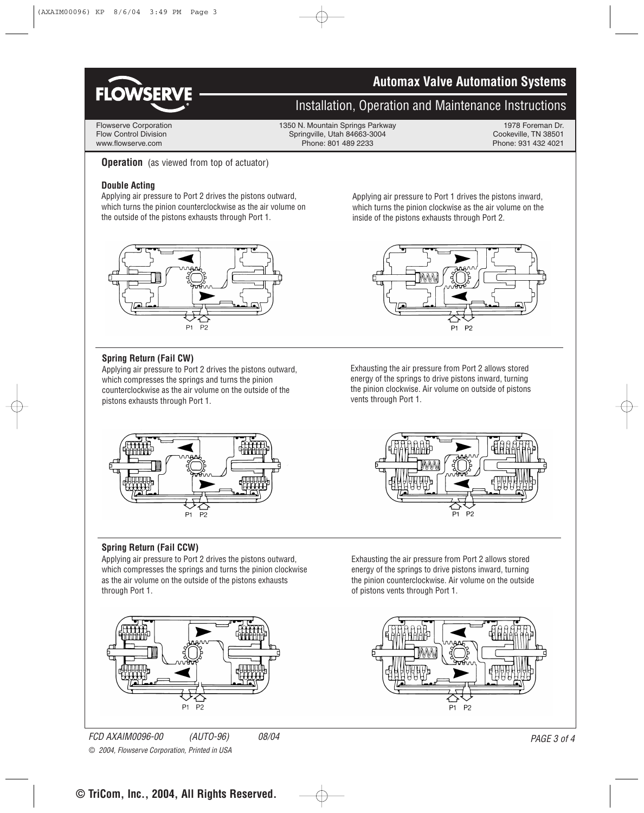

## **3-Position Control/Dribble Control Automax Valve Automation Systems**

## **Installation, Operation and Maintenance Instructions**

Flowserve Corporation 1350 N. Mountain Springs Parkway 1978 Foreman Dr.<br>Flow Control Division 1978 Foreman Dr. Springville. Utah 84663-3004 1978 Foreman Dr. Flow Control Division Springville, Utah 84663-3004 Cookeville, TN 38501<br>
Phone: 801 489 2233<br>
Phone: 931 432 4021 Phone: 801 489 2233

**Operation** (as viewed from top of actuator)

### **Double Acting**

Applying air pressure to Port 2 drives the pistons outward, which turns the pinion counterclockwise as the air volume on the outside of the pistons exhausts through Port 1.



## **Spring Return (Fail CW)**

Applying air pressure to Port 2 drives the pistons outward, which compresses the springs and turns the pinion counterclockwise as the air volume on the outside of the pistons exhausts through Port 1.

Applying air pressure to Port 1 drives the pistons inward, which turns the pinion clockwise as the air volume on the inside of the pistons exhausts through Port 2.



Exhausting the air pressure from Port 2 allows stored energy of the springs to drive pistons inward, turning the pinion clockwise. Air volume on outside of pistons vents through Port 1.



### **Spring Return (Fail CCW)**

Applying air pressure to Port 2 drives the pistons outward, which compresses the springs and turns the pinion clockwise as the air volume on the outside of the pistons exhausts through Port 1.

 $P<sub>1</sub>$ 

P<sub>2</sub>



Exhausting the air pressure from Port 2 allows stored energy of the springs to drive pistons inward, turning the pinion counterclockwise. Air volume on the outside of pistons vents through Port 1.